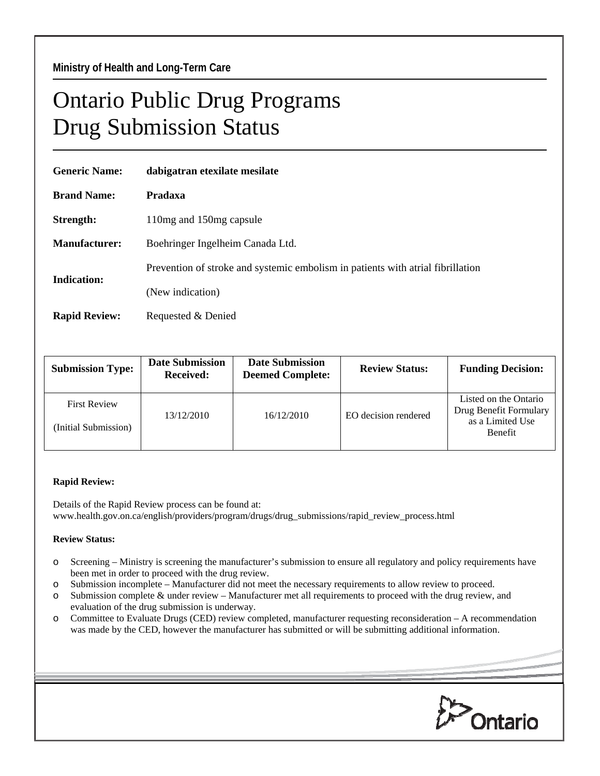## Ontario Public Drug Programs Drug Submission Status

| <b>Generic Name:</b> | dabigatran etexilate mesilate                                                   |  |  |  |
|----------------------|---------------------------------------------------------------------------------|--|--|--|
| <b>Brand Name:</b>   | Pradaxa                                                                         |  |  |  |
| Strength:            | 110 mg and 150 mg capsule                                                       |  |  |  |
| <b>Manufacturer:</b> | Boehringer Ingelheim Canada Ltd.                                                |  |  |  |
| <b>Indication:</b>   | Prevention of stroke and systemic embolism in patients with atrial fibrillation |  |  |  |
|                      | (New indication)                                                                |  |  |  |
| <b>Rapid Review:</b> | Requested & Denied                                                              |  |  |  |

| <b>Submission Type:</b>                     | <b>Date Submission</b><br>Received: | <b>Date Submission</b><br><b>Deemed Complete:</b> | <b>Review Status:</b> | <b>Funding Decision:</b>                                                              |
|---------------------------------------------|-------------------------------------|---------------------------------------------------|-----------------------|---------------------------------------------------------------------------------------|
| <b>First Review</b><br>(Initial Submission) | 13/12/2010                          | 16/12/2010                                        | EO decision rendered  | Listed on the Ontario<br>Drug Benefit Formulary<br>as a Limited Use<br><b>Benefit</b> |

## **Rapid Review:**

Details of the Rapid Review process can be found at: www.health.gov.on.ca/english/providers/program/drugs/drug\_submissions/rapid\_review\_process.html

## **Review Status:**

- o Screening Ministry is screening the manufacturer's submission to ensure all regulatory and policy requirements have been met in order to proceed with the drug review.
- o Submission incomplete Manufacturer did not meet the necessary requirements to allow review to proceed.
- o Submission complete & under review Manufacturer met all requirements to proceed with the drug review, and evaluation of the drug submission is underway.
- o Committee to Evaluate Drugs (CED) review completed, manufacturer requesting reconsideration A recommendation was made by the CED, however the manufacturer has submitted or will be submitting additional information.